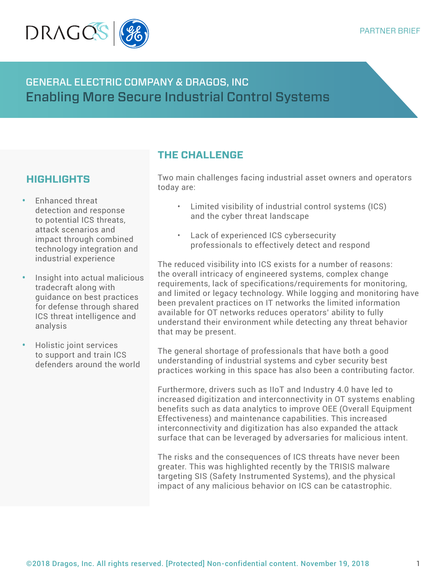

# GENERAL ELECTRIC COMPANY & DRAGOS, INC Enabling More Secure Industrial Control Systems

# **HIGHLIGHTS**

- **•** Enhanced threat detection and response to potential ICS threats, attack scenarios and impact through combined technology integration and industrial experience
- **•** Insight into actual malicious tradecraft along with guidance on best practices for defense through shared ICS threat intelligence and analysis
- **•** Holistic joint services to support and train ICS defenders around the world

## **THE CHALLENGE**

Two main challenges facing industrial asset owners and operators today are:

- Limited visibility of industrial control systems (ICS) and the cyber threat landscape
- Lack of experienced ICS cybersecurity professionals to effectively detect and respond

The reduced visibility into ICS exists for a number of reasons: the overall intricacy of engineered systems, complex change requirements, lack of specifications/requirements for monitoring, and limited or legacy technology. While logging and monitoring have been prevalent practices on IT networks the limited information available for OT networks reduces operators' ability to fully understand their environment while detecting any threat behavior that may be present.

The general shortage of professionals that have both a good understanding of industrial systems and cyber security best practices working in this space has also been a contributing factor.

Furthermore, drivers such as IIoT and Industry 4.0 have led to increased digitization and interconnectivity in OT systems enabling benefits such as data analytics to improve OEE (Overall Equipment Effectiveness) and maintenance capabilities. This increased interconnectivity and digitization has also expanded the attack surface that can be leveraged by adversaries for malicious intent.

The risks and the consequences of ICS threats have never been greater. This was highlighted recently by the TRISIS malware targeting SIS (Safety Instrumented Systems), and the physical impact of any malicious behavior on ICS can be catastrophic.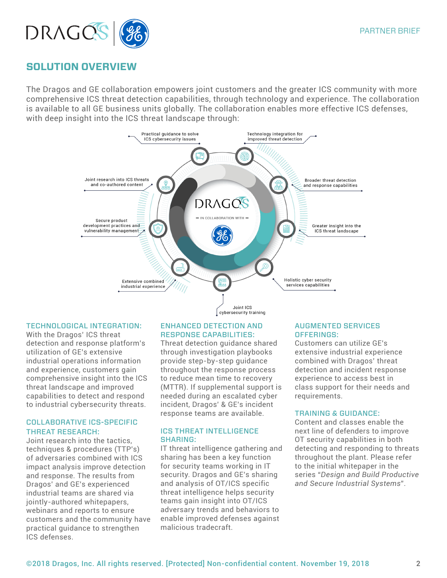

### **SOLUTION OVERVIEW**

The Dragos and GE collaboration empowers joint customers and the greater ICS community with more comprehensive ICS threat detection capabilities, through technology and experience. The collaboration is available to all GE business units globally. The collaboration enables more effective ICS defenses, with deep insight into the ICS threat landscape through:



#### TECHNOLOGICAL INTEGRATION:

With the Dragos' ICS threat detection and response platform's utilization of GE's extensive industrial operations information and experience, customers gain comprehensive insight into the ICS threat landscape and improved capabilities to detect and respond to industrial cybersecurity threats.

#### COLLABORATIVE ICS-SPECIFIC THREAT RESEARCH:

Joint research into the tactics, techniques & procedures (TTP's) of adversaries combined with ICS impact analysis improve detection and response. The results from Dragos' and GE's experienced industrial teams are shared via jointly-authored whitepapers, webinars and reports to ensure customers and the community have practical guidance to strengthen ICS defenses.

#### ENHANCED DETECTION AND RESPONSE CAPABILITIES:

Threat detection guidance shared through investigation playbooks provide step-by-step guidance throughout the response process to reduce mean time to recovery (MTTR). If supplemental support is needed during an escalated cyber incident, Dragos' & GE's incident response teams are available.

#### ICS THREAT INTELLIGENCE SHARING:

IT threat intelligence gathering and sharing has been a key function for security teams working in IT security. Dragos and GE's sharing and analysis of OT/ICS specific threat intelligence helps security teams gain insight into OT/ICS adversary trends and behaviors to enable improved defenses against malicious tradecraft.

#### AUGMENTED SERVICES OFFERINGS:

Customers can utilize GE's extensive industrial experience combined with Dragos' threat detection and incident response experience to access best in class support for their needs and requirements.

#### TRAINING & GUIDANCE:

Content and classes enable the next line of defenders to improve OT security capabilities in both detecting and responding to threats throughout the plant. Please refer to the initial whitepaper in the series "*Design and Build Productive and Secure Industrial Systems*".